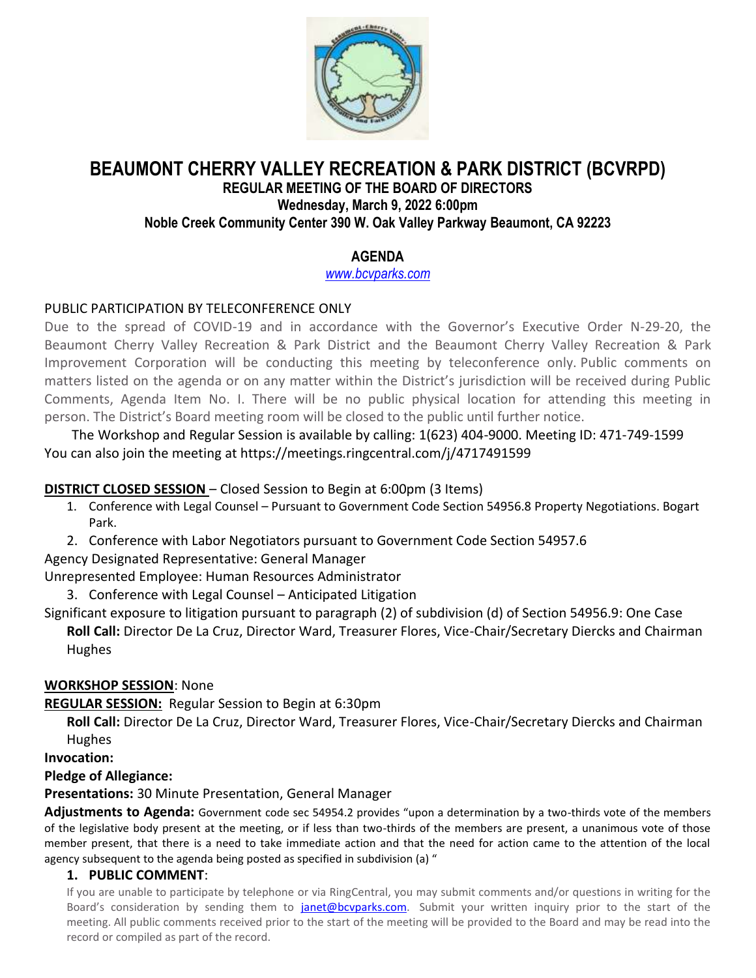

# **BEAUMONT CHERRY VALLEY RECREATION & PARK DISTRICT (BCVRPD)**

#### **REGULAR MEETING OF THE BOARD OF DIRECTORS Wednesday, March 9, 2022 6:00pm Noble Creek Community Center 390 W. Oak Valley Parkway Beaumont, CA 92223**

# **AGENDA**

*[www.bcvparks.com](http://www.bcvparks.com/)*

# PUBLIC PARTICIPATION BY TELECONFERENCE ONLY

Due to the spread of COVID-19 and in accordance with the Governor's Executive Order N-29-20, the Beaumont Cherry Valley Recreation & Park District and the Beaumont Cherry Valley Recreation & Park Improvement Corporation will be conducting this meeting by teleconference only. Public comments on matters listed on the agenda or on any matter within the District's jurisdiction will be received during Public Comments, Agenda Item No. I. There will be no public physical location for attending this meeting in person. The District's Board meeting room will be closed to the public until further notice.

The Workshop and Regular Session is available by calling: 1(623) 404-9000. Meeting ID: 471-749-1599 You can also join the meeting at https://meetings.ringcentral.com/j/4717491599

## **DISTRICT CLOSED SESSION** – Closed Session to Begin at 6:00pm (3 Items)

- 1. Conference with Legal Counsel Pursuant to Government Code Section 54956.8 Property Negotiations. Bogart Park.
- 2. Conference with Labor Negotiators pursuant to Government Code Section 54957.6

Agency Designated Representative: General Manager

Unrepresented Employee: Human Resources Administrator

3. Conference with Legal Counsel – Anticipated Litigation

Significant exposure to litigation pursuant to paragraph (2) of subdivision (d) of Section 54956.9: One Case

**Roll Call:** Director De La Cruz, Director Ward, Treasurer Flores, Vice-Chair/Secretary Diercks and Chairman Hughes

### **WORKSHOP SESSION**: None

**REGULAR SESSION:** Regular Session to Begin at 6:30pm

**Roll Call:** Director De La Cruz, Director Ward, Treasurer Flores, Vice-Chair/Secretary Diercks and Chairman Hughes

**Invocation:**

### **Pledge of Allegiance:**

**Presentations:** 30 Minute Presentation, General Manager

**Adjustments to Agenda:** Government code sec 54954.2 provides "upon a determination by a two-thirds vote of the members of the legislative body present at the meeting, or if less than two-thirds of the members are present, a unanimous vote of those member present, that there is a need to take immediate action and that the need for action came to the attention of the local agency subsequent to the agenda being posted as specified in subdivision (a) "

### **1. PUBLIC COMMENT**:

If you are unable to participate by telephone or via RingCentral, you may submit comments and/or questions in writing for the Board's consideration by sending them to [janet@bcvparks.com.](mailto:janet@bcvparks.com) Submit your written inquiry prior to the start of the meeting. All public comments received prior to the start of the meeting will be provided to the Board and may be read into the record or compiled as part of the record.